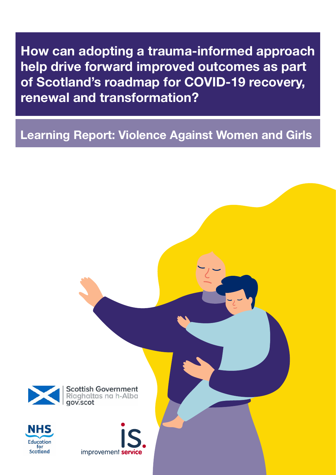**How can adopting a trauma-informed approach help drive forward improved outcomes as part of Scotland's roadmap for COVID-19 recovery, renewal and transformation?**

# **Learning Report: Violence Against Women and Girls**

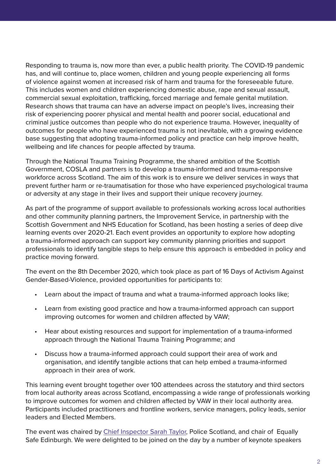Responding to trauma is, now more than ever, a public health priority. The COVID-19 pandemic has, and will continue to, place women, children and young people experiencing all forms of violence against women at increased risk of harm and trauma for the foreseeable future. This includes women and children experiencing domestic abuse, rape and sexual assault, commercial sexual exploitation, trafficking, forced marriage and female genital mutilation. Research shows that trauma can have an adverse impact on people's lives, increasing their risk of experiencing poorer physical and mental health and poorer social, educational and criminal justice outcomes than people who do not experience trauma. However, inequality of outcomes for people who have experienced trauma is not inevitable, with a growing evidence base suggesting that adopting trauma-informed policy and practice can help improve health, wellbeing and life chances for people affected by trauma.

Through the National Trauma Training Programme, the shared ambition of the Scottish Government, COSLA and partners is to develop a trauma-informed and trauma-responsive workforce across Scotland. The aim of this work is to ensure we deliver services in ways that prevent further harm or re-traumatisation for those who have experienced psychological trauma or adversity at any stage in their lives and support their unique recovery journey.

As part of the programme of support available to professionals working across local authorities and other community planning partners, the Improvement Service, in partnership with the Scottish Government and NHS Education for Scotland, has been hosting a series of deep dive learning events over 2020-21. Each event provides an opportunity to explore how adopting a trauma-informed approach can support key community planning priorities and support professionals to identify tangible steps to help ensure this approach is embedded in policy and practice moving forward.

The event on the 8th December 2020, which took place as part of 16 Days of Activism Against Gender-Based-Violence, provided opportunities for participants to:

- Learn about the impact of trauma and what a trauma-informed approach looks like;
- Learn from existing good practice and how a trauma-informed approach can support improving outcomes for women and children affected by VAW;
- Hear about existing resources and support for implementation of a trauma-informed approach through the National Trauma Training Programme; and
- Discuss how a trauma-informed approach could support their area of work and organisation, and identify tangible actions that can help embed a trauma-informed approach in their area of work.

This learning event brought together over 100 attendees across the statutory and third sectors from local authority areas across Scotland, encompassing a wide range of professionals working to improve outcomes for women and children affected by VAW in their local authority area. Participants included practitioners and frontline workers, service managers, policy leads, senior leaders and Elected Members.

The event was chaired by [Chief Inspector Sarah Taylor,](https://youtu.be/mZnXDXm-PFc) Police Scotland, and chair of Equally Safe Edinburgh. We were delighted to be joined on the day by a number of keynote speakers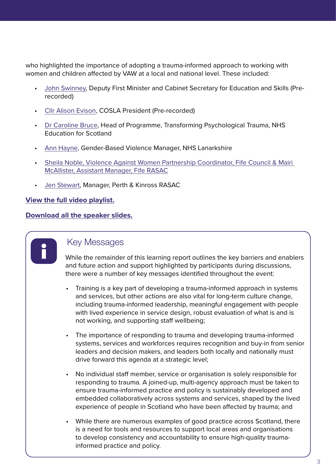who highlighted the importance of adopting a trauma-informed approach to working with women and children affected by VAW at a local and national level. These included:

- [John Swinney,](https://youtu.be/NucVJcCLx_w) Deputy First Minister and Cabinet Secretary for Education and Skills (Prerecorded)
- [Cllr Alison Evison,](https://youtu.be/f0yKwfBfNQA) COSLA President (Pre-recorded)
- [Dr Caroline Bruce,](https://youtu.be/0u6HVk8BLV8) Head of Programme, Transforming Psychological Trauma, NHS Education for Scotland
- [Ann Hayne,](https://youtu.be/sgpkmMuRJt8) Gender-Based Violence Manager, NHS Lanarkshire
- [Sheila Noble, Violence Against Women Partnership Coordinator, Fife Council & Mairi](https://youtu.be/RyGjusKPxcI)  [McAllister, Assistant Manager, Fife RASAC](https://youtu.be/RyGjusKPxcI)
- [Jen Stewart](https://youtu.be/MeM_fJ7TH0s), Manager, Perth & Kinross RASAC

### **[View the full video playlist.](https://www.youtube.com/playlist?list=PLbUnhSM_PFtb618knC9zUjWiTaiYdmv04)**

### **[Download all the speaker slides.](https://www.improvementservice.org.uk/__data/assets/pdf_file/0028/23599/VAW-deep-dive-presentations.pdf)**



## Key Messages

While the remainder of this learning report outlines the key barriers and enablers and future action and support highlighted by participants during discussions, there were a number of key messages identified throughout the event:

- Training is a key part of developing a trauma-informed approach in systems and services, but other actions are also vital for long-term culture change, including trauma-informed leadership, meaningful engagement with people with lived experience in service design, robust evaluation of what is and is not working, and supporting staff wellbeing;
- The importance of responding to trauma and developing trauma-informed systems, services and workforces requires recognition and buy-in from senior leaders and decision makers, and leaders both locally and nationally must drive forward this agenda at a strategic level;
- No individual staff member, service or organisation is solely responsible for responding to trauma. A joined-up, multi-agency approach must be taken to ensure trauma-informed practice and policy is sustainably developed and embedded collaboratively across systems and services, shaped by the lived experience of people in Scotland who have been affected by trauma; and
- While there are numerous examples of good practice across Scotland, there is a need for tools and resources to support local areas and organisations to develop consistency and accountability to ensure high-quality traumainformed practice and policy.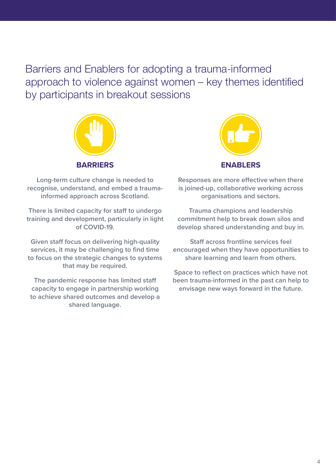Barriers and Enablers for adopting a trauma-informed approach to violence against women – key themes identified by participants in breakout sessions



**Long-term culture change is needed to recognise, understand, and embed a traumainformed approach across Scotland.** 

**There is limited capacity for staff to undergo training and development, particularly in light of COVID-19.** 

**Given staff focus on delivering high-quality services, it may be challenging to find time to focus on the strategic changes to systems that may be required.**

**The pandemic response has limited staff capacity to engage in partnership working to achieve shared outcomes and develop a shared language.**



**Responses are more effective when there is joined-up, collaborative working across organisations and sectors.** 

**Trauma champions and leadership commitment help to break down silos and develop shared understanding and buy in.**

**Staff across frontline services feel encouraged when they have opportunities to share learning and learn from others.**

**Space to reflect on practices which have not been trauma-informed in the past can help to envisage new ways forward in the future.**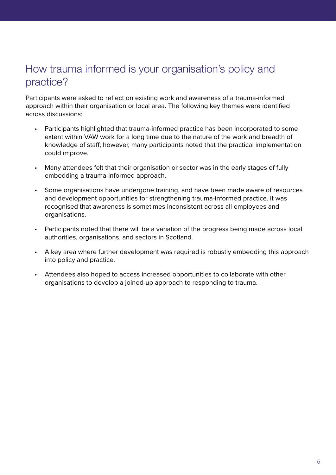# How trauma informed is your organisation's policy and practice?

Participants were asked to reflect on existing work and awareness of a trauma-informed approach within their organisation or local area. The following key themes were identified across discussions:

- Participants highlighted that trauma-informed practice has been incorporated to some extent within VAW work for a long time due to the nature of the work and breadth of knowledge of staff; however, many participants noted that the practical implementation could improve.
- Many attendees felt that their organisation or sector was in the early stages of fully embedding a trauma-informed approach.
- Some organisations have undergone training, and have been made aware of resources and development opportunities for strengthening trauma-informed practice. It was recognised that awareness is sometimes inconsistent across all employees and organisations.
- Participants noted that there will be a variation of the progress being made across local authorities, organisations, and sectors in Scotland.
- A key area where further development was required is robustly embedding this approach into policy and practice.
- Attendees also hoped to access increased opportunities to collaborate with other organisations to develop a joined-up approach to responding to trauma.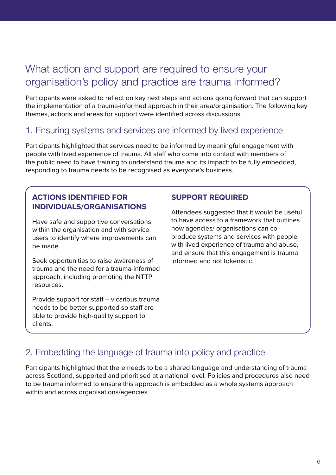# What action and support are required to ensure your organisation's policy and practice are trauma informed?

Participants were asked to reflect on key next steps and actions going forward that can support the implementation of a trauma-informed approach in their area/organisation. The following key themes, actions and areas for support were identified across discussions:

## 1. Ensuring systems and services are informed by lived experience

Participants highlighted that services need to be informed by meaningful engagement with people with lived experience of trauma. All staff who come into contact with members of the public need to have training to understand trauma and its impact: to be fully embedded, responding to trauma needs to be recognised as everyone's business.

## **ACTIONS IDENTIFIED FOR INDIVIDUALS/ORGANISATIONS**

Have safe and supportive conversations within the organisation and with service users to identify where improvements can be made.

Seek opportunities to raise awareness of trauma and the need for a trauma-informed approach, including promoting the NTTP resources.

Provide support for staff – vicarious trauma needs to be better supported so staff are able to provide high-quality support to clients.

### **SUPPORT REQUIRED**

Attendees suggested that it would be useful to have access to a framework that outlines how agencies/ organisations can coproduce systems and services with people with lived experience of trauma and abuse, and ensure that this engagement is trauma informed and not tokenistic.

## 2. Embedding the language of trauma into policy and practice

Participants highlighted that there needs to be a shared language and understanding of trauma across Scotland, supported and prioritised at a national level. Policies and procedures also need to be trauma informed to ensure this approach is embedded as a whole systems approach within and across organisations/agencies.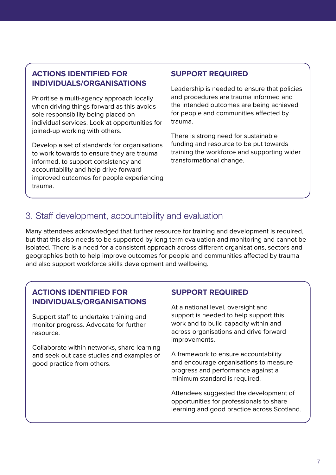### **ACTIONS IDENTIFIED FOR INDIVIDUALS/ORGANISATIONS**

Prioritise a multi-agency approach locally when driving things forward as this avoids sole responsibility being placed on individual services. Look at opportunities for joined-up working with others.

Develop a set of standards for organisations to work towards to ensure they are trauma informed, to support consistency and accountability and help drive forward improved outcomes for people experiencing trauma.

### **SUPPORT REQUIRED**

Leadership is needed to ensure that policies and procedures are trauma informed and the intended outcomes are being achieved for people and communities affected by trauma.

There is strong need for sustainable funding and resource to be put towards training the workforce and supporting wider transformational change.

## 3. Staff development, accountability and evaluation

Many attendees acknowledged that further resource for training and development is required, but that this also needs to be supported by long-term evaluation and monitoring and cannot be isolated. There is a need for a consistent approach across different organisations, sectors and geographies both to help improve outcomes for people and communities affected by trauma and also support workforce skills development and wellbeing.

### **ACTIONS IDENTIFIED FOR INDIVIDUALS/ORGANISATIONS**

Support staff to undertake training and monitor progress. Advocate for further resource.

Collaborate within networks, share learning and seek out case studies and examples of good practice from others.

### **SUPPORT REQUIRED**

At a national level, oversight and support is needed to help support this work and to build capacity within and across organisations and drive forward improvements.

A framework to ensure accountability and encourage organisations to measure progress and performance against a minimum standard is required.

Attendees suggested the development of opportunities for professionals to share learning and good practice across Scotland.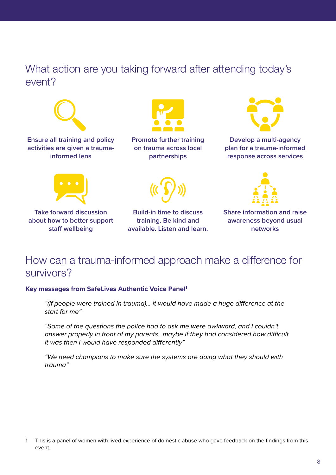## What action are you taking forward after attending today's event?



**Ensure all training and policy activities are given a traumainformed lens**



**Promote further training on trauma across local partnerships**



**Develop a multi-agency plan for a trauma-informed response across services**





**Take forward discussion about how to better support staff wellbeing**

**Build-in time to discuss training. Be kind and available. Listen and learn.** 

**Share information and raise awareness beyond usual networks**

## How can a trauma-informed approach make a difference for survivors?

### **Key messages from SafeLives Authentic Voice Panel1**

"(If people were trained in trauma)… it would have made a huge difference at the start for me"

"Some of the questions the police had to ask me were awkward, and I couldn't answer properly in front of my parents…maybe if they had considered how difficult it was then I would have responded differently"

"We need champions to make sure the systems are doing what they should with trauma"

<sup>1</sup> This is a panel of women with lived experience of domestic abuse who gave feedback on the findings from this event.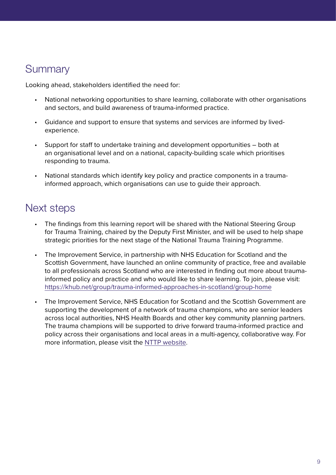# **Summary**

Looking ahead, stakeholders identified the need for:

- National networking opportunities to share learning, collaborate with other organisations and sectors, and build awareness of trauma-informed practice.
- Guidance and support to ensure that systems and services are informed by livedexperience.
- Support for staff to undertake training and development opportunities both at an organisational level and on a national, capacity-building scale which prioritises responding to trauma.
- National standards which identify key policy and practice components in a traumainformed approach, which organisations can use to guide their approach.

# Next steps

- The findings from this learning report will be shared with the National Steering Group for Trauma Training, chaired by the Deputy First Minister, and will be used to help shape strategic priorities for the next stage of the National Trauma Training Programme.
- The Improvement Service, in partnership with NHS Education for Scotland and the Scottish Government, have launched an online community of practice, free and available to all professionals across Scotland who are interested in finding out more about traumainformed policy and practice and who would like to share learning. To join, please visit: <https://khub.net/group/trauma-informed-approaches-in-scotland/group-home>
- The Improvement Service, NHS Education for Scotland and the Scottish Government are supporting the development of a network of trauma champions, who are senior leaders across local authorities, NHS Health Boards and other key community planning partners. The trauma champions will be supported to drive forward trauma-informed practice and policy across their organisations and local areas in a multi-agency, collaborative way. For more information, please visit the [NTTP website.](https://transformingpsychologicaltrauma.scot/working-together/local-trauma-champions/)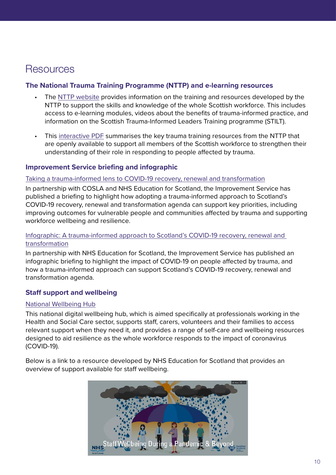# **Resources**

### **The National Trauma Training Programme (NTTP) and e-learning resources**

- The [NTTP website](https://transformingpsychologicaltrauma.scot/) provides information on the training and resources developed by the NTTP to support the skills and knowledge of the whole Scottish workforce. This includes access to e-learning modules, videos about the benefits of trauma-informed practice, and information on the Scottish Trauma-Informed Leaders Training programme (STILT).
- This [interactive PDF](https://transformingpsychologicaltrauma.scot/media/w3hpiif4/nesd1334-national-trauma-training-programme-online-resources-3103-new.pdf) summarises the key trauma training resources from the NTTP that are openly available to support all members of the Scottish workforce to strengthen their understanding of their role in responding to people affected by trauma.

### **Improvement Service briefing and infographic**

### [Taking a trauma-informed lens to COVID-19 recovery, renewal and transformation](https://www.improvementservice.org.uk/__data/assets/pdf_file/0021/21558/EMBriefing-Taking-a-Trauma-Informed-Lens-Oct-2020.pdf)

In partnership with COSLA and NHS Education for Scotland, the Improvement Service has published a briefing to highlight how adopting a trauma-informed approach to Scotland's COVID-19 recovery, renewal and transformation agenda can support key priorities, including improving outcomes for vulnerable people and communities affected by trauma and supporting workforce wellbeing and resilience.

### [Infographic: A trauma-informed approach to Scotland's COVID-19 recovery, renewal and](https://www.improvementservice.org.uk/__data/assets/pdf_file/0014/21623/covid19-trauma-infographic.pdf)  [transformation](https://www.improvementservice.org.uk/__data/assets/pdf_file/0014/21623/covid19-trauma-infographic.pdf)

In partnership with NHS Education for Scotland, the Improvement Service has published an infographic briefing to highlight the impact of COVID-19 on people affected by trauma, and how a trauma-informed approach can support Scotland's COVID-19 recovery, renewal and transformation agenda.

### **Staff support and wellbeing**

### [National Wellbeing Hub](https://www.promis.scot/)

This national digital wellbeing hub, which is aimed specifically at professionals working in the Health and Social Care sector, supports staff, carers, volunteers and their families to access relevant support when they need it, and provides a range of self-care and wellbeing resources designed to aid resilience as the whole workforce responds to the impact of coronavirus (COVID-19).

Below is a link to a resource developed by NHS Education for Scotland that provides an overview of support available for staff wellbeing.

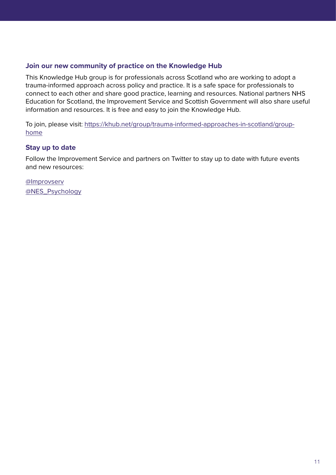### **Join our new community of practice on the Knowledge Hub**

This Knowledge Hub group is for professionals across Scotland who are working to adopt a trauma-informed approach across policy and practice. It is a safe space for professionals to connect to each other and share good practice, learning and resources. National partners NHS Education for Scotland, the Improvement Service and Scottish Government will also share useful information and resources. It is free and easy to join the Knowledge Hub.

To join, please visit: [https://khub.net/group/trauma-informed-approaches-in-scotland/group](https://khub.net/group/trauma-informed-approaches-in-scotland/group-home)[home](https://khub.net/group/trauma-informed-approaches-in-scotland/group-home)

### **Stay up to date**

Follow the Improvement Service and partners on Twitter to stay up to date with future events and new resources:

[@Improvserv](https://twitter.com/improvserv) [@NES\\_Psychology](https://twitter.com/NES_Psychology)